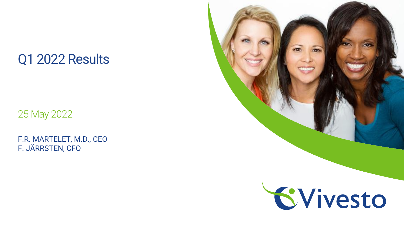## Q1 2022 Results

25 May 2022

F.R. MARTELET, M.D., CEO F. JÄRRSTEN, CFO

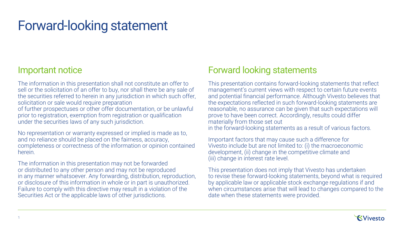## Forward-looking statement

#### Important notice

The information in this presentation shall not constitute an offer to sell or the solicitation of an offer to buy, nor shall there be any sale of the securities referred to herein in any jurisdiction in which such offer, solicitation or sale would require preparation of further prospectuses or other offer documentation, or be unlawful prior to registration, exemption from registration or qualification under the securities laws of any such jurisdiction.

No representation or warranty expressed or implied is made as to, and no reliance should be placed on the fairness, accuracy, completeness or correctness of the information or opinion contained herein.

The information in this presentation may not be forwarded or distributed to any other person and may not be reproduced in any manner whatsoever. Any forwarding, distribution, reproduction, or disclosure of this information in whole or in part is unauthorized. Failure to comply with this directive may result in a violation of the Securities Act or the applicable laws of other jurisdictions.

## Forward looking statements

This presentation contains forward-looking statements that reflect management's current views with respect to certain future events and potential financial performance. Although Vivesto believes that the expectations reflected in such forward-looking statements are reasonable, no assurance can be given that such expectations will prove to have been correct. Accordingly, results could differ materially from those set out in the forward-looking statements as a result of various factors.

Important factors that may cause such a difference for Vivesto include but are not limited to: (i) the macroeconomic development, (ii) change in the competitive climate and (iii) change in interest rate level.

This presentation does not imply that Vivesto has undertaken to revise these forward-looking statements, beyond what is required by applicable law or applicable stock exchange regulations if and when circumstances arise that will lead to changes compared to the date when these statements were provided.

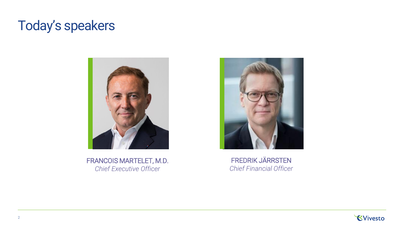## Today's speakers



FRANCOIS MARTELET, M.D. *Chief Executive Officer* 



FREDRIK JÄRRSTEN *Chief Financial Officer*

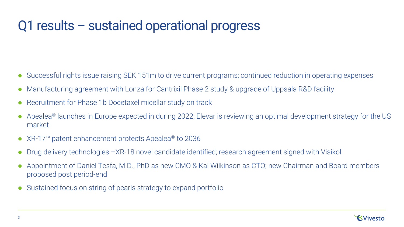## Q1 results – sustained operational progress

- ⚫ Successful rights issue raising SEK 151m to drive current programs; continued reduction in operating expenses
- ⚫ Manufacturing agreement with Lonza for Cantrixil Phase 2 study & upgrade of Uppsala R&D facility
- Recruitment for Phase 1b Docetaxel micellar study on track
- ⚫ Apealea® launches in Europe expected in during 2022; Elevar is reviewing an optimal development strategy for the US market
- XR-17™ patent enhancement protects Apealea<sup>®</sup> to 2036
- ⚫ Drug delivery technologies –XR-18 novel candidate identified; research agreement signed with Visikol
- ⚫ Appointment of Daniel Tesfa, M.D., PhD as new CMO & Kai Wilkinson as CTO; new Chairman and Board members proposed post period-end
- Sustained focus on string of pearls strategy to expand portfolio

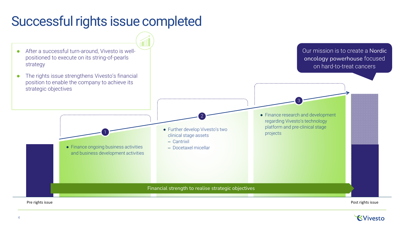# Successful rights issue completed

● Finance ongoing business activities and business development activities ● Further develop Vivesto's two clinical stage assets ‒ Cantrixil ‒ Docetaxel micellar ● Finance research and development regarding Vivesto's technology platform and pre-clinical stage projects ● After a successful turn-around, Vivesto is wellpositioned to execute on its string-of-pearls strategy ⚫ The rights issue strengthens Vivesto's financial position to enable the company to achieve its strategic objectives + SEK [•] matrix of the SEK [•] matrix of the SEK [•] matrix of the SEK [•] matrix of the SEK [•] matrix of the SEK [•] matrix of the SEK [•] matrix of the SEK [•] matrix of the SEK [•] matrix of the S Financial strength to realise strategic objectives 2 3 1 Our mission is to create a Nordic oncology powerhouse focused on hard-to-treat cancers



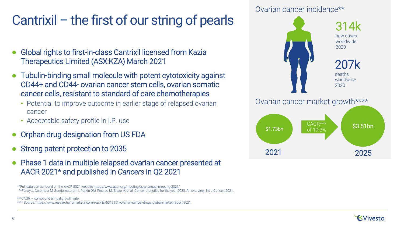# Cantrixil – the first of our string of pearls

- ⚫ Global rights to first-in-class Cantrixil licensed from Kazia Therapeutics Limited (ASX:KZA) March 2021
- ⚫ Tubulin-binding small molecule with potent cytotoxicity against CD44+ and CD44- ovarian cancer stem cells, ovarian somatic cancer cells, resistant to standard of care chemotherapies
	- Potential to improve outcome in earlier stage of relapsed ovarian cancer
	- Acceptable safety profile in I.P. use
- ⚫ Orphan drug designation from US FDA
- ⚫ Strong patent protection to 2035
- ⚫ Phase 1 data in multiple relapsed ovarian cancer presented at AACR 2021\* and published in *Cancers* in Q2 2021

\*Full data can be found on the AACR 2021 website <https://www.aacr.org/meeting/aacr-annual-meeting-2021/> \*\*Ferlay J, Colombet M, Soerjomataram I, Parkin DM, Pineros M, Znaor A, et al. Cancer statistics for the year 2020: An overview. Int J Cancer. 2021.

\*\*\*CAGR – compound annual growth rate

\*\*\*\* Source: <https://www.researchandmarkets.com/reports/5319151/ovarian-cancer-drugs-global-market-report-2021>



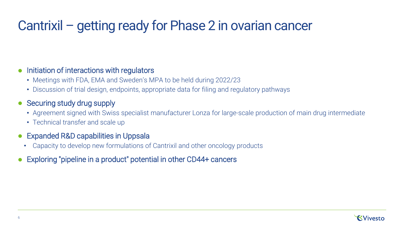# Cantrixil – getting ready for Phase 2 in ovarian cancer

#### ● Initiation of interactions with regulators

- Meetings with FDA, EMA and Sweden's MPA to be held during 2022/23
- Discussion of trial design, endpoints, appropriate data for filing and regulatory pathways

### ● Securing study drug supply

- Agreement signed with Swiss specialist manufacturer Lonza for large-scale production of main drug intermediate
- Technical transfer and scale up
- ⚫ Expanded R&D capabilities in Uppsala
	- Capacity to develop new formulations of Cantrixil and other oncology products
- Exploring "pipeline in a product" potential in other CD44+ cancers

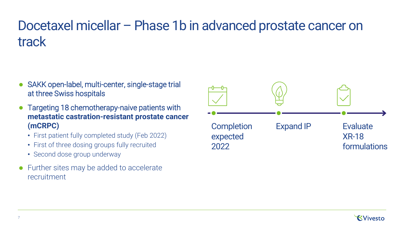# Docetaxel micellar – Phase 1b in advanced prostate cancer on track

- SAKK open-label, multi-center, single-stage trial at three Swiss hospitals
- ⚫ Targeting 18 chemotherapy-naive patients with **metastatic castration-resistant prostate cancer (mCRPC)**
	- First patient fully completed study (Feb 2022)
	- First of three dosing groups fully recruited
	- Second dose group underway
- Further sites may be added to accelerate recruitment



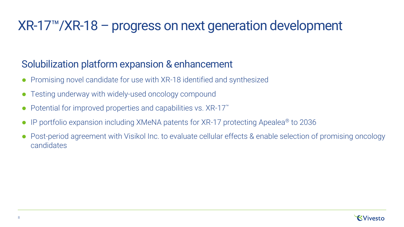## XR-17™/XR-18 – progress on next generation development

## Solubilization platform expansion & enhancement

- ⚫ Promising novel candidate for use with XR-18 identified and synthesized
- ⚫ Testing underway with widely-used oncology compound
- Potential for improved properties and capabilities vs. XR-17™
- ⚫ IP portfolio expansion including XMeNA patents for XR-17 protecting Apealea® to 2036
- Post-period agreement with Visikol Inc. to evaluate cellular effects & enable selection of promising oncology candidates

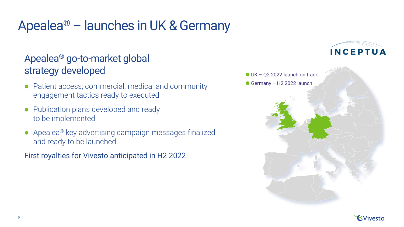## Apealea® – launches in UK & Germany

## Apealea® go-to-market global strategy developed

- ⚫ Patient access, commercial, medical and community engagement tactics ready to executed
- ⚫ Publication plans developed and ready to be implemented
- $\bullet$  Apealea<sup>®</sup> key advertising campaign messages finalized and ready to be launched

First royalties for Vivesto anticipated in H2 2022





**INCEPTUA**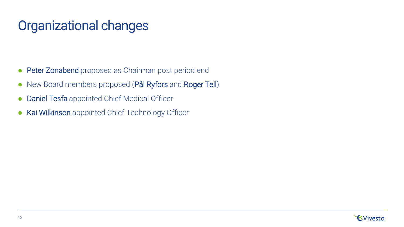## Organizational changes

- Peter Zonabend proposed as Chairman post period end
- ⚫ New Board members proposed (Pål Ryfors and Roger Tell)
- ⚫ Daniel Tesfa appointed Chief Medical Officer
- ⚫ Kai Wilkinson appointed Chief Technology Officer

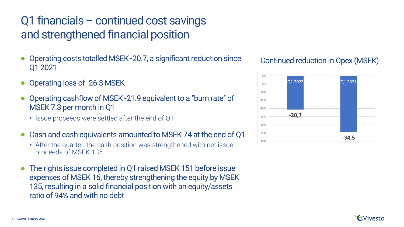## Q1 financials – continued cost savings and strengthened financial position

- ⚫ Operating costs totalled MSEK -20.7, a significant reduction since Q1 2021
- ⚫ Operating loss of -26.3 MSEK
- ⚫ Operating cashflow of MSEK -21.9 equivalent to a "burn rate" of MSEK 7.3 per month in Q1
	- Issue proceeds were settled after the end of Q1
- ⚫ Cash and cash equivalents amounted to MSEK 74 at the end of Q1
	- After the quarter, the cash position was strengthened with net issue proceeds of MSEK 135.
- ⚫ The rights issue completed in Q1 raised MSEK 151 before issue expenses of MSEK 16, thereby strengthening the equity by MSEK 135, resulting in a solid financial position with an equity/assets ratio of 94% and with no debt

Continued reduction in Opex (MSEK)



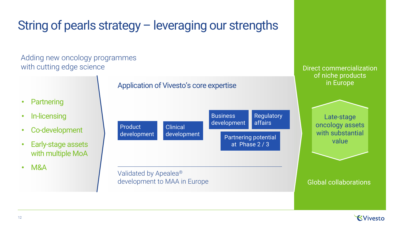## String of pearls strategy – leveraging our strengths

Adding new oncology programmes with cutting edge science

- **Partnering**
- In-licensing
- Co-development
- Early-stage assets with multiple MoA
- M&A





Validated by Apealea® development to MAA in Europe



#### Global collaborations

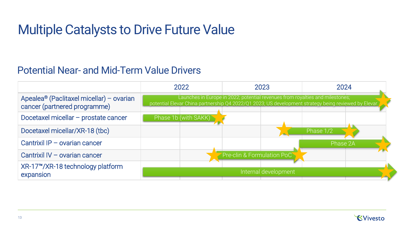## Multiple Catalysts to Drive Future Value

## Potential Near- and Mid-Term Value Drivers



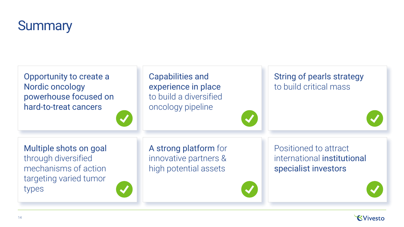